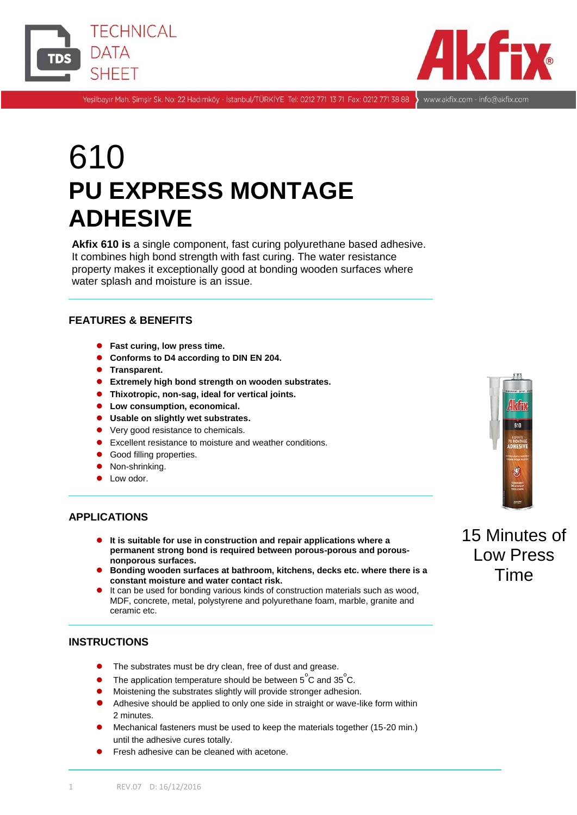



Yeşilbayır Mah. Şimşir Sk. No: 22 Hadımköy - İstanbul/TÜRKİYE Tel: 0212 771 13 71 Fax: 0212 771 38 88 www.akfix.com - info@akfix.com

# 610 **PU EXPRESS MONTAGE ADHESIVE**

**Akfix 610 is** a single component, fast curing polyurethane based adhesive. It combines high bond strength with fast curing. The water resistance property makes it exceptionally good at bonding wooden surfaces where water splash and moisture is an issue.

# **FEATURES & BENEFITS**

- **Fast curing, low press time.**
- **Conforms to D4 according to DIN EN 204.**
- $\bullet$  Transparent.
- **Extremely high bond strength on wooden substrates.**
- **Thixotropic, non-sag, ideal for vertical joints.**
- **Low consumption, economical.**
- **Usable on slightly wet substrates.**
- Very good resistance to chemicals.
- **Excellent resistance to moisture and weather conditions.**
- Good filling properties.
- Non-shrinking.
- Low odor.

#### **APPLICATIONS**

- **It is suitable for use in construction and repair applications where a permanent strong bond is required between porous-porous and porousnonporous surfaces.**
- **Bonding wooden surfaces at bathroom, kitchens, decks etc. where there is a constant moisture and water contact risk.**
- It can be used for bonding various kinds of construction materials such as wood, MDF, concrete, metal, polystyrene and polyurethane foam, marble, granite and ceramic etc.

# **INSTRUCTIONS**

- The substrates must be dry clean, free of dust and grease.
- The application temperature should be between  $5^{\circ}$ C and 35 $^{\circ}$ C.
- Moistening the substrates slightly will provide stronger adhesion.
- Adhesive should be applied to only one side in straight or wave-like form within 2 minutes.
- Mechanical fasteners must be used to keep the materials together (15-20 min.) until the adhesive cures totally.
- Fresh adhesive can be cleaned with acetone.



# 15 Minutes of Low Press Time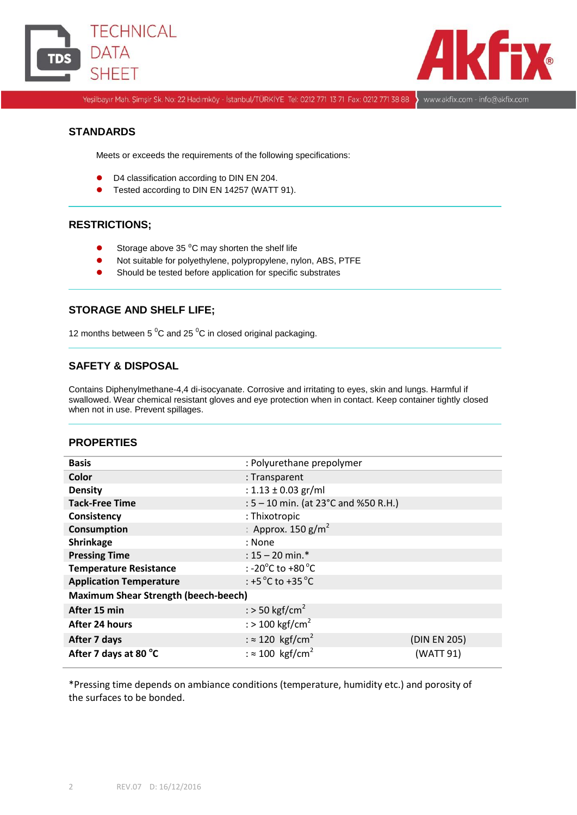



Yeşilbayır Mah. Şimşir Sk. No: 22 Hadımköy - İstanbul/TÜRKİYE Tel: 0212 771 13 71 Fax: 0212 771 38 88 > www.akfix.com - info@akfix.com

# **STANDARDS**

Meets or exceeds the requirements of the following specifications:

- D4 classification according to DIN EN 204.
- Tested according to DIN EN 14257 (WATT 91).

#### **RESTRICTIONS;**

- Storage above 35 $\,^0$ C may shorten the shelf life
- Not suitable for polyethylene, polypropylene, nylon, ABS, PTFE
- **•** Should be tested before application for specific substrates

## **STORAGE AND SHELF LIFE;**

12 months between 5 $\mathrm{^{0}C}$  and 25 $\mathrm{^{0}C}$  in closed original packaging.

# **SAFETY & DISPOSAL**

Contains Diphenylmethane-4,4 di-isocyanate. Corrosive and irritating to eyes, skin and lungs. Harmful if swallowed. Wear chemical resistant gloves and eye protection when in contact. Keep container tightly closed when not in use. Prevent spillages.

# **PROPERTIES**

| <b>Basis</b>                                | : Polyurethane prepolymer                             |              |
|---------------------------------------------|-------------------------------------------------------|--------------|
| Color                                       | : Transparent                                         |              |
| <b>Density</b>                              | : $1.13 \pm 0.03$ gr/ml                               |              |
| <b>Tack-Free Time</b>                       | : 5 – 10 min. (at 23°C and %50 R.H.)                  |              |
| Consistency                                 | : Thixotropic                                         |              |
| <b>Consumption</b>                          | : Approx. 150 $g/m^2$                                 |              |
| Shrinkage                                   | : None                                                |              |
| <b>Pressing Time</b>                        | : $15 - 20$ min.*                                     |              |
| <b>Temperature Resistance</b>               | : -20 $^{\circ}$ C to +80 $^{\circ}$ C                |              |
| <b>Application Temperature</b>              | : +5 $\mathrm{^{\circ}C}$ to +35 $\mathrm{^{\circ}C}$ |              |
| <b>Maximum Shear Strength (beech-beech)</b> |                                                       |              |
| After 15 min                                | : > 50 kgf/cm <sup>2</sup>                            |              |
| After 24 hours                              | : $>$ 100 kgf/cm <sup>2</sup>                         |              |
| After 7 days                                | : $\approx$ 120 kgf/cm <sup>2</sup>                   | (DIN EN 205) |
| After 7 days at 80 °C                       | : $\approx 100$ kgf/cm <sup>2</sup>                   | (WATT 91)    |

\*Pressing time depends on ambiance conditions (temperature, humidity etc.) and porosity of the surfaces to be bonded.